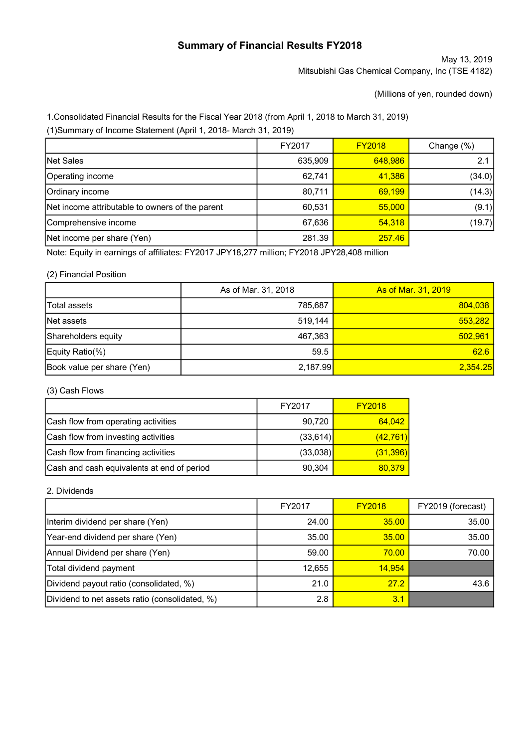# Summary of Financial Results FY2018

May 13, 2019 Mitsubishi Gas Chemical Company, Inc (TSE 4182)

(Millions of yen, rounded down)

1.Consolidated Financial Results for the Fiscal Year 2018 (from April 1, 2018 to March 31, 2019)

(1)Summary of Income Statement (April 1, 2018- March 31, 2019)

|                                                 | FY2017  | <b>FY2018</b> | Change (%) |
|-------------------------------------------------|---------|---------------|------------|
| Net Sales                                       | 635,909 | 648,986       |            |
| Operating income                                | 62,741  | 41,386        | (34.0)     |
| Ordinary income                                 | 80,711  | 69.199        | (14.3)     |
| Net income attributable to owners of the parent | 60,531  | 55,000        | (9.1)      |
| Comprehensive income                            | 67,636  | 54.318        | (19.7)     |
| Net income per share (Yen)                      | 281.39  | 257.46        |            |

Note: Equity in earnings of affiliates: FY2017 JPY18,277 million; FY2018 JPY28,408 million

## (2) Financial Position

|                            | As of Mar. 31, 2018 | <b>As of Mar. 31, 2019</b> |
|----------------------------|---------------------|----------------------------|
| <b>Total assets</b>        | 785.687             | 804,038                    |
| Net assets                 | 519.144             | 553,282                    |
| Shareholders equity        | 467.363             | 502,961                    |
| Equity Ratio(%)            | 59.5                | 62.6                       |
| Book value per share (Yen) | 2,187.99            | 2,354.25                   |

## (3) Cash Flows

|                                            | FY2017    | <b>FY2018</b> |
|--------------------------------------------|-----------|---------------|
| Cash flow from operating activities        | 90,720    | 64,042        |
| Cash flow from investing activities        | (33, 614) | (42, 761)     |
| Cash flow from financing activities        | (33,038)  | (31, 396)     |
| Cash and cash equivalents at end of period | 90,304    | 80,379        |

## 2. Dividends

|                                                | FY2017 | <b>FY2018</b> | FY2019 (forecast) |
|------------------------------------------------|--------|---------------|-------------------|
| Interim dividend per share (Yen)               | 24.00  | 35.00         | 35.00             |
| Year-end dividend per share (Yen)              | 35.00  | 35.00         | 35.00             |
| Annual Dividend per share (Yen)                | 59.00  | 70.00         | 70.00             |
| Total dividend payment                         | 12,655 | 14,954        |                   |
| Dividend payout ratio (consolidated, %)        | 21.0   | 27.2          | 43.6              |
| Dividend to net assets ratio (consolidated, %) | 2.8    | 3.1           |                   |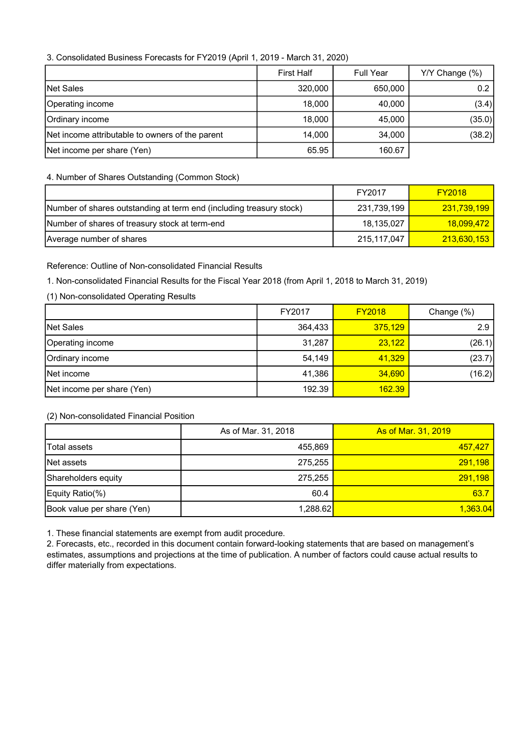## 3. Consolidated Business Forecasts for FY2019 (April 1, 2019 - March 31, 2020)

|                                                 | <b>First Half</b> | <b>Full Year</b> | Y/Y Change (%) |
|-------------------------------------------------|-------------------|------------------|----------------|
| Net Sales                                       | 320,000           | 650,000          | 0.2            |
| Operating income                                | 18,000            | 40,000           | (3.4)          |
| Ordinary income                                 | 18,000            | 45,000           | (35.0)         |
| Net income attributable to owners of the parent | 14,000            | 34,000           | (38.2)         |
| Net income per share (Yen)                      | 65.95             | 160.67           |                |

## 4. Number of Shares Outstanding (Common Stock)

|                                                                     | FY2017      | <b>FY2018</b>           |
|---------------------------------------------------------------------|-------------|-------------------------|
| Number of shares outstanding at term end (including treasury stock) | 231,739,199 | 231.739.199             |
| Number of shares of treasury stock at term-end                      | 18,135,027  | <mark>18.099.472</mark> |
| Average number of shares                                            | 215,117,047 | 213,630,153             |

## Reference: Outline of Non-consolidated Financial Results

## 1. Non-consolidated Financial Results for the Fiscal Year 2018 (from April 1, 2018 to March 31, 2019)

## (1) Non-consolidated Operating Results

|                            | FY2017  | <b>FY2018</b> | Change (%) |
|----------------------------|---------|---------------|------------|
| Net Sales                  | 364,433 | 375.129       | 2.9        |
| Operating income           | 31,287  | 23,122        | (26.1)     |
| Ordinary income            | 54,149  | 41,329        | (23.7)     |
| Net income                 | 41,386  | 34,690        | (16.2)     |
| Net income per share (Yen) | 192.39  | 162.39        |            |

## (2) Non-consolidated Financial Position

|                            | As of Mar. 31, 2018 | <b>As of Mar. 31, 2019</b> |
|----------------------------|---------------------|----------------------------|
| lTotal assets              | 455.869             | 457.427                    |
| Net assets                 | 275.255             | 291,198                    |
| Shareholders equity        | 275.255             | 291,198                    |
| Equity Ratio(%)            | 60.4                | 63.7                       |
| Book value per share (Yen) | 1,288.62            | 1,363.04                   |

1. These financial statements are exempt from audit procedure.

2. Forecasts, etc., recorded in this document contain forward-looking statements that are based on management's estimates, assumptions and projections at the time of publication. A number of factors could cause actual results to differ materially from expectations.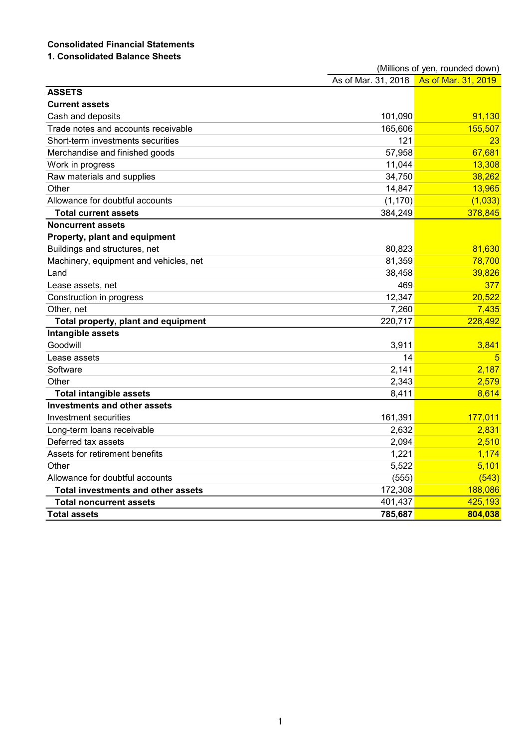# Consolidated Financial Statements

# 1. Consolidated Balance Sheets

|                                           | (Millions of yen, rounded down) |                     |  |
|-------------------------------------------|---------------------------------|---------------------|--|
|                                           | As of Mar. 31, 2018             | As of Mar. 31, 2019 |  |
| <b>ASSETS</b>                             |                                 |                     |  |
| <b>Current assets</b>                     |                                 |                     |  |
| Cash and deposits                         | 101,090                         | 91,130              |  |
| Trade notes and accounts receivable       | 165,606                         | 155,507             |  |
| Short-term investments securities         | 121                             | 23                  |  |
| Merchandise and finished goods            | 57,958                          | 67,681              |  |
| Work in progress                          | 11,044                          | 13,308              |  |
| Raw materials and supplies                | 34,750                          | 38,262              |  |
| Other                                     | 14,847                          | 13,965              |  |
| Allowance for doubtful accounts           | (1, 170)                        | (1,033)             |  |
| <b>Total current assets</b>               | 384,249                         | 378,845             |  |
| <b>Noncurrent assets</b>                  |                                 |                     |  |
| Property, plant and equipment             |                                 |                     |  |
| Buildings and structures, net             | 80,823                          | 81,630              |  |
| Machinery, equipment and vehicles, net    | 81,359                          | 78,700              |  |
| Land                                      | 38,458                          | 39,826              |  |
| Lease assets, net                         | 469                             | 377                 |  |
| Construction in progress                  | 12,347                          | 20,522              |  |
| Other, net                                | 7,260                           | 7,435               |  |
| Total property, plant and equipment       | 220,717                         | 228,492             |  |
| Intangible assets                         |                                 |                     |  |
| Goodwill                                  | 3,911                           | 3,841               |  |
| Lease assets                              | 14                              | 5                   |  |
| Software                                  | 2,141                           | 2,187               |  |
| Other                                     | 2,343                           | 2,579               |  |
| <b>Total intangible assets</b>            | 8,411                           | 8,614               |  |
| <b>Investments and other assets</b>       |                                 |                     |  |
| Investment securities                     | 161,391                         | 177,011             |  |
| Long-term loans receivable                | 2,632                           | 2,831               |  |
| Deferred tax assets                       | 2,094                           | 2,510               |  |
| Assets for retirement benefits            | 1,221                           | 1,174               |  |
| Other                                     | 5,522                           | 5,101               |  |
| Allowance for doubtful accounts           | (555)                           | (543)               |  |
| <b>Total investments and other assets</b> | 172,308                         | 188,086             |  |
| Total noncurrent assets                   | 401,437                         | 425,193             |  |
| <b>Total assets</b>                       | 785,687                         | 804,038             |  |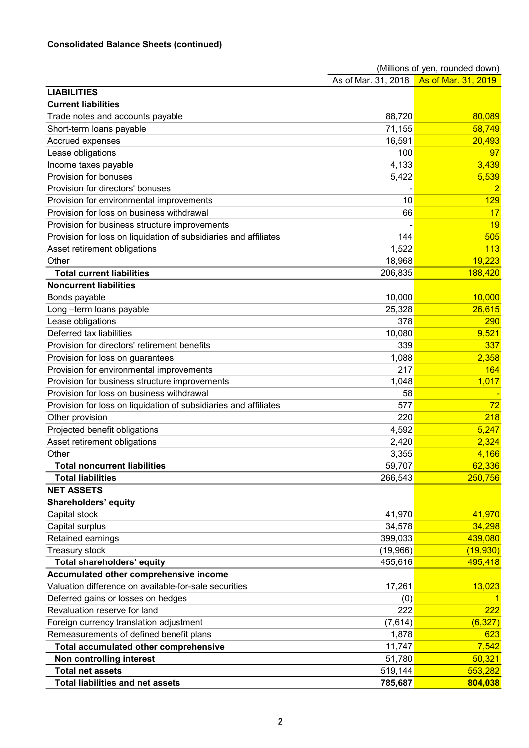|                                                                  | (Millions of yen, rounded down)         |          |
|------------------------------------------------------------------|-----------------------------------------|----------|
|                                                                  | As of Mar. 31, 2018 As of Mar. 31, 2019 |          |
| <b>LIABILITIES</b>                                               |                                         |          |
| <b>Current liabilities</b>                                       |                                         |          |
| Trade notes and accounts payable                                 | 88,720                                  | 80,089   |
| Short-term loans payable                                         | 71,155                                  | 58,749   |
| Accrued expenses                                                 | 16,591                                  | 20,493   |
| Lease obligations                                                | 100                                     | 97       |
| Income taxes payable                                             | 4,133                                   | 3,439    |
| Provision for bonuses                                            | 5,422                                   | 5,539    |
| Provision for directors' bonuses                                 |                                         |          |
| Provision for environmental improvements                         | 10                                      | 129      |
| Provision for loss on business withdrawal                        | 66                                      | 17       |
| Provision for business structure improvements                    |                                         | 19       |
| Provision for loss on liquidation of subsidiaries and affiliates | 144                                     | 505      |
| Asset retirement obligations                                     | 1,522                                   | 113      |
| Other                                                            | 18,968                                  | 19,223   |
| <b>Total current liabilities</b>                                 | 206,835                                 | 188,420  |
| <b>Noncurrent liabilities</b>                                    |                                         |          |
| Bonds payable                                                    | 10,000                                  | 10,000   |
| Long-term loans payable                                          | 25,328                                  | 26,615   |
| Lease obligations                                                | 378                                     | 290      |
| Deferred tax liabilities                                         | 10,080                                  | 9,521    |
| Provision for directors' retirement benefits                     | 339                                     | 337      |
| Provision for loss on guarantees                                 | 1,088                                   | 2,358    |
| Provision for environmental improvements                         | 217                                     | 164      |
| Provision for business structure improvements                    | 1,048                                   | 1,017    |
| Provision for loss on business withdrawal                        | 58                                      |          |
| Provision for loss on liquidation of subsidiaries and affiliates | 577                                     | 72       |
| Other provision                                                  | 220                                     | 218      |
| Projected benefit obligations                                    | 4,592                                   | 5,247    |
| Asset retirement obligations                                     | 2,420                                   | 2,324    |
| Other                                                            | 3,355                                   | 4,166    |
| <b>Total noncurrent liabilities</b>                              | 59,707                                  | 62,336   |
| <b>Total liabilities</b>                                         | 266,543                                 | 250,756  |
| <b>NET ASSETS</b>                                                |                                         |          |
| <b>Shareholders' equity</b>                                      |                                         |          |
| Capital stock                                                    | 41,970                                  | 41,970   |
| Capital surplus                                                  | 34,578                                  | 34,298   |
| Retained earnings                                                | 399,033                                 | 439,080  |
| Treasury stock                                                   | (19,966)                                | (19,930) |
| Total shareholders' equity                                       | 455,616                                 | 495,418  |
| Accumulated other comprehensive income                           |                                         |          |
| Valuation difference on available-for-sale securities            | 17,261                                  | 13,023   |
| Deferred gains or losses on hedges                               | (0)                                     |          |
| Revaluation reserve for land                                     | 222                                     | 222      |
| Foreign currency translation adjustment                          | (7,614)                                 | (6, 327) |
| Remeasurements of defined benefit plans                          | 1,878                                   | 623      |
| <b>Total accumulated other comprehensive</b>                     | 11,747                                  | 7,542    |
| Non controlling interest                                         | 51,780                                  | 50,321   |
| <b>Total net assets</b>                                          | 519,144                                 | 553,282  |
| <b>Total liabilities and net assets</b>                          | 785,687                                 | 804,038  |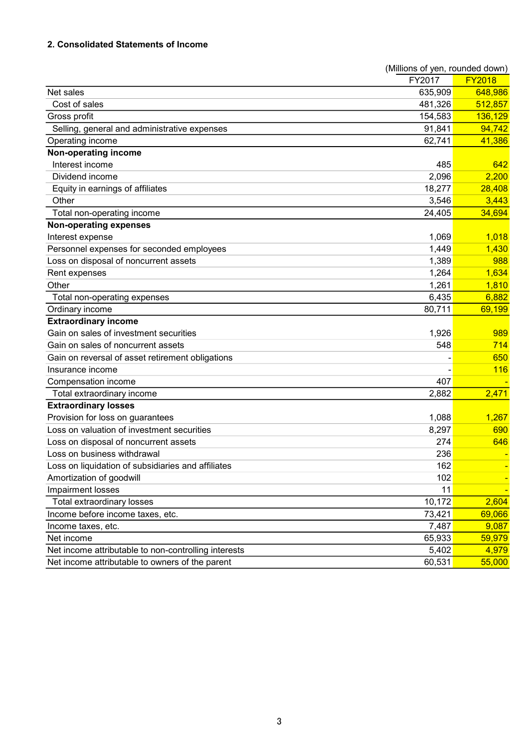# 2. Consolidated Statements of Income

|                                                      | (Millions of yen, rounded down) |               |
|------------------------------------------------------|---------------------------------|---------------|
|                                                      | FY2017                          | <b>FY2018</b> |
| Net sales                                            | 635,909                         | 648,986       |
| Cost of sales                                        | 481,326                         | 512,857       |
| Gross profit                                         | 154,583                         | 136,129       |
| Selling, general and administrative expenses         | 91,841                          | 94,742        |
| Operating income                                     | 62,741                          | 41,386        |
| Non-operating income                                 |                                 |               |
| Interest income                                      | 485                             | 642           |
| Dividend income                                      | 2,096                           | 2,200         |
| Equity in earnings of affiliates                     | 18,277                          | 28,408        |
| Other                                                | 3,546                           | 3,443         |
| Total non-operating income                           | 24,405                          | 34,694        |
| <b>Non-operating expenses</b>                        |                                 |               |
| Interest expense                                     | 1,069                           | 1,018         |
| Personnel expenses for seconded employees            | 1,449                           | 1,430         |
| Loss on disposal of noncurrent assets                | 1,389                           | 988           |
| Rent expenses                                        | 1,264                           | 1,634         |
| Other                                                | 1,261                           | 1,810         |
| Total non-operating expenses                         | 6,435                           | 6,882         |
| Ordinary income                                      | 80,711                          | 69,199        |
| <b>Extraordinary income</b>                          |                                 |               |
| Gain on sales of investment securities               | 1,926                           | 989           |
| Gain on sales of noncurrent assets                   | 548                             | 714           |
| Gain on reversal of asset retirement obligations     |                                 | 650           |
| Insurance income                                     |                                 | <b>116</b>    |
| Compensation income                                  | 407                             |               |
| Total extraordinary income                           | 2,882                           | 2,471         |
| <b>Extraordinary losses</b>                          |                                 |               |
| Provision for loss on guarantees                     | 1,088                           | 1,267         |
| Loss on valuation of investment securities           | 8,297                           | 690           |
| Loss on disposal of noncurrent assets                | 274                             | 646           |
| Loss on business withdrawal                          | 236                             |               |
| Loss on liquidation of subsidiaries and affiliates   | 162                             |               |
| Amortization of goodwill                             | 102                             |               |
| Impairment losses                                    | 11                              |               |
| Total extraordinary losses                           | 10,172                          | 2,604         |
| Income before income taxes, etc.                     | 73,421                          | 69,066        |
| Income taxes, etc.                                   | 7,487                           | 9,087         |
| Net income                                           | 65,933                          | 59,979        |
| Net income attributable to non-controlling interests | 5,402                           | 4,979         |
| Net income attributable to owners of the parent      | 60,531                          | 55,000        |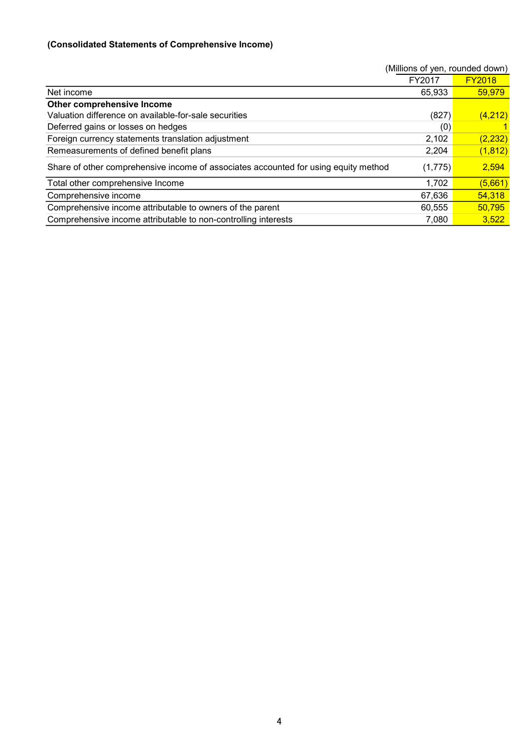# (Consolidated Statements of Comprehensive Income)

|                                                                                     | (Millions of yen, rounded down) |               |
|-------------------------------------------------------------------------------------|---------------------------------|---------------|
|                                                                                     | FY2017                          | <b>FY2018</b> |
| Net income                                                                          | 65,933                          | 59,979        |
| Other comprehensive Income                                                          |                                 |               |
| Valuation difference on available-for-sale securities                               | (827)                           | (4,212)       |
| Deferred gains or losses on hedges                                                  | (0)                             |               |
| Foreign currency statements translation adjustment                                  | 2,102                           | (2, 232)      |
| Remeasurements of defined benefit plans                                             | 2,204                           | (1, 812)      |
| Share of other comprehensive income of associates accounted for using equity method | (1,775)                         | 2,594         |
| Total other comprehensive Income                                                    | 1,702                           | (5,661)       |
| Comprehensive income                                                                | 67,636                          | 54,318        |
| Comprehensive income attributable to owners of the parent                           | 60,555                          | 50,795        |
| Comprehensive income attributable to non-controlling interests                      | 7,080                           | 3,522         |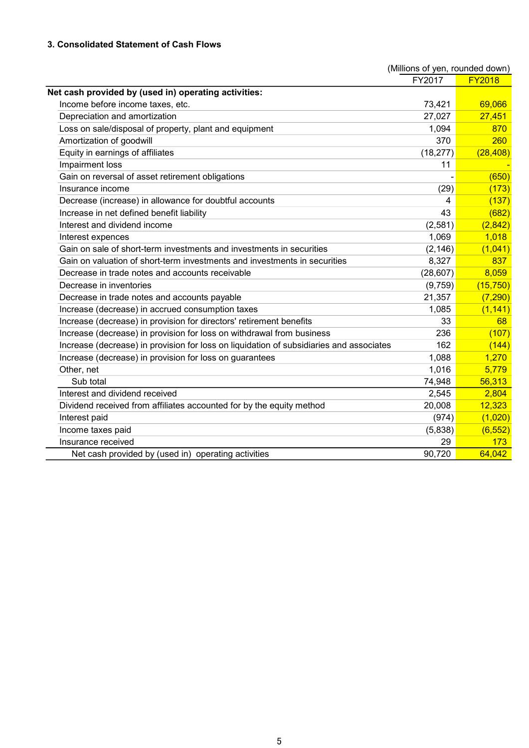# 3. Consolidated Statement of Cash Flows

|                                                                                         | (Millions of yen, rounded down) |               |
|-----------------------------------------------------------------------------------------|---------------------------------|---------------|
|                                                                                         | FY2017                          | <b>FY2018</b> |
| Net cash provided by (used in) operating activities:                                    |                                 |               |
| Income before income taxes, etc.                                                        | 73,421                          | 69,066        |
| Depreciation and amortization                                                           | 27,027                          | 27,451        |
| Loss on sale/disposal of property, plant and equipment                                  | 1,094                           | 870           |
| Amortization of goodwill                                                                | 370                             | 260           |
| Equity in earnings of affiliates                                                        | (18, 277)                       | (28, 408)     |
| Impairment loss                                                                         | 11                              |               |
| Gain on reversal of asset retirement obligations                                        |                                 | (650)         |
| Insurance income                                                                        | (29)                            | (173)         |
| Decrease (increase) in allowance for doubtful accounts                                  | 4                               | (137)         |
| Increase in net defined benefit liability                                               | 43                              | (682)         |
| Interest and dividend income                                                            | (2,581)                         | (2, 842)      |
| Interest expences                                                                       | 1,069                           | 1,018         |
| Gain on sale of short-term investments and investments in securities                    | (2, 146)                        | (1,041)       |
| Gain on valuation of short-term investments and investments in securities               | 8,327                           | 837           |
| Decrease in trade notes and accounts receivable                                         | (28, 607)                       | 8,059         |
| Decrease in inventories                                                                 | (9,759)                         | (15,750)      |
| Decrease in trade notes and accounts payable                                            | 21,357                          | (7, 290)      |
| Increase (decrease) in accrued consumption taxes                                        | 1,085                           | (1, 141)      |
| Increase (decrease) in provision for directors' retirement benefits                     | 33                              | 68            |
| Increase (decrease) in provision for loss on withdrawal from business                   | 236                             | (107)         |
| Increase (decrease) in provision for loss on liquidation of subsidiaries and associates | 162                             | (144)         |
| Increase (decrease) in provision for loss on guarantees                                 | 1,088                           | 1,270         |
| Other, net                                                                              | 1,016                           | 5,779         |
| Sub total                                                                               | 74,948                          | 56,313        |
| Interest and dividend received                                                          | 2,545                           | 2,804         |
| Dividend received from affiliates accounted for by the equity method                    | 20,008                          | 12,323        |
| Interest paid                                                                           | (974)                           | (1,020)       |
| Income taxes paid                                                                       | (5,838)                         | (6, 552)      |
| Insurance received                                                                      | 29                              | 173           |
| Net cash provided by (used in) operating activities                                     | 90,720                          | 64,042        |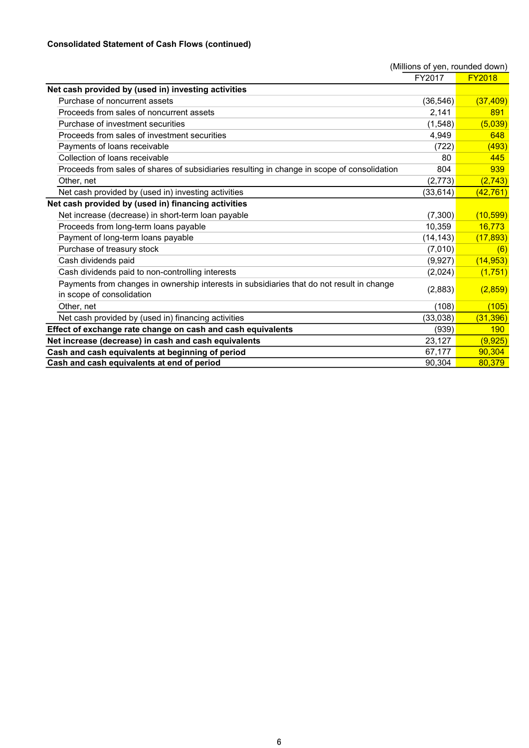# Consolidated Statement of Cash Flows (continued)

|                                                                                             | (Millions of yen, rounded down) |               |
|---------------------------------------------------------------------------------------------|---------------------------------|---------------|
|                                                                                             | FY2017                          | <b>FY2018</b> |
| Net cash provided by (used in) investing activities                                         |                                 |               |
| Purchase of noncurrent assets                                                               | (36, 546)                       | (37, 409)     |
| Proceeds from sales of noncurrent assets                                                    | 2,141                           | 891           |
| Purchase of investment securities                                                           | (1,548)                         | (5,039)       |
| Proceeds from sales of investment securities                                                | 4,949                           | 648           |
| Payments of loans receivable                                                                | (722)                           | (493)         |
| Collection of loans receivable                                                              | 80                              | 445           |
| Proceeds from sales of shares of subsidiaries resulting in change in scope of consolidation | 804                             | 939           |
| Other, net                                                                                  | (2, 773)                        | (2, 743)      |
| Net cash provided by (used in) investing activities                                         | (33, 614)                       | (42, 761)     |
| Net cash provided by (used in) financing activities                                         |                                 |               |
| Net increase (decrease) in short-term loan payable                                          | (7,300)                         | (10, 599)     |
| Proceeds from long-term loans payable                                                       | 10,359                          | 16,773        |
| Payment of long-term loans payable                                                          | (14, 143)                       | (17, 893)     |
| Purchase of treasury stock                                                                  | (7,010)                         | (6)           |
| Cash dividends paid                                                                         | (9,927)                         | (14, 953)     |
| Cash dividends paid to non-controlling interests                                            | (2,024)                         | (1,751)       |
| Payments from changes in ownership interests in subsidiaries that do not result in change   | (2,883)                         | (2,859)       |
| in scope of consolidation                                                                   |                                 |               |
| Other, net                                                                                  | (108)                           | (105)         |
| Net cash provided by (used in) financing activities                                         | (33,038)                        | (31, 396)     |
| Effect of exchange rate change on cash and cash equivalents                                 | (939)                           | <b>190</b>    |
| Net increase (decrease) in cash and cash equivalents                                        | 23,127                          | (9, 925)      |
| Cash and cash equivalents at beginning of period                                            | 67,177                          | 90.304        |
| Cash and cash equivalents at end of period                                                  | 90,304                          | 80,379        |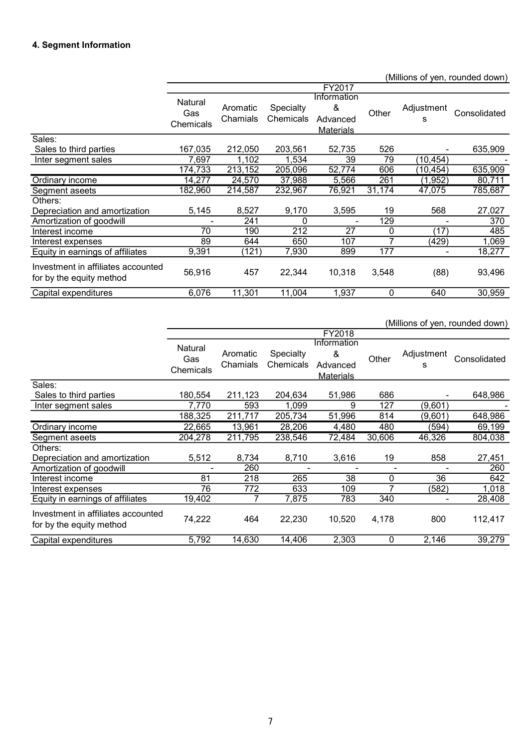# 4. Segment Information

|                                                                |                             |                      |                        |                                                  |        |                 | (Millions of yen, rounded down) |
|----------------------------------------------------------------|-----------------------------|----------------------|------------------------|--------------------------------------------------|--------|-----------------|---------------------------------|
|                                                                |                             |                      |                        | FY2017                                           |        |                 |                                 |
|                                                                | Natural<br>Gas<br>Chemicals | Aromatic<br>Chamials | Specialty<br>Chemicals | Information<br>&<br>Advanced<br><b>Materials</b> | Other  | Adjustment<br>s | Consolidated                    |
| Sales:                                                         |                             |                      |                        |                                                  |        |                 |                                 |
| Sales to third parties                                         | 167,035                     | 212,050              | 203,561                | 52,735                                           | 526    |                 | 635,909                         |
| Inter segment sales                                            | 7,697                       | 1,102                | 1,534                  | 39                                               | 79     | (10,454)        |                                 |
|                                                                | 174,733                     | 213,152              | 205,096                | 52,774                                           | 606    | (10,454)        | 635,909                         |
| Ordinary income                                                | 14,277                      | 24,570               | 37,988                 | 5,566                                            | 261    | (1,952)         | 80,711                          |
| Segment aseets                                                 | 182,960                     | 214,587              | 232,967                | 76,921                                           | 31,174 | 47,075          | 785,687                         |
| Others:                                                        |                             |                      |                        |                                                  |        |                 |                                 |
| Depreciation and amortization                                  | 5,145                       | 8,527                | 9,170                  | 3,595                                            | 19     | 568             | 27,027                          |
| Amortization of goodwill                                       |                             | 241                  | 0                      |                                                  | 129    |                 | 370                             |
| Interest income                                                | 70                          | 190                  | 212                    | 27                                               | 0      | (17)            | 485                             |
| Interest expenses                                              | 89                          | 644                  | 650                    | 107                                              | 7      | (429)           | 1,069                           |
| Equity in earnings of affiliates                               | 9,391                       | (121)                | 7,930                  | 899                                              | 177    |                 | 18,277                          |
| Investment in affiliates accounted<br>for by the equity method | 56,916                      | 457                  | 22,344                 | 10,318                                           | 3,548  | (88)            | 93,496                          |
| Capital expenditures                                           | 6,076                       | 11,301               | 11,004                 | 1,937                                            | 0      | 640             | 30,959                          |

(Millions of yen, rounded down)

|                                                                |                             |                      |                               | FY2018                                           |        |                 |              |
|----------------------------------------------------------------|-----------------------------|----------------------|-------------------------------|--------------------------------------------------|--------|-----------------|--------------|
|                                                                | Natural<br>Gas<br>Chemicals | Aromatic<br>Chamials | <b>Specialty</b><br>Chemicals | Information<br>&<br>Advanced<br><b>Materials</b> | Other  | Adjustment<br>s | Consolidated |
| Sales:                                                         |                             |                      |                               |                                                  |        |                 |              |
| Sales to third parties                                         | 180,554                     | 211,123              | 204,634                       | 51,986                                           | 686    |                 | 648,986      |
| Inter segment sales                                            | 7,770                       | 593                  | 1,099                         | 9                                                | 127    | (9,601)         |              |
|                                                                | 188,325                     | 211,717              | 205,734                       | 51,996                                           | 814    | (9,601)         | 648,986      |
| Ordinary income                                                | 22,665                      | 13,961               | 28,206                        | 4,480                                            | 480    | (594)           | 69,199       |
| Segment aseets                                                 | 204,278                     | 211,795              | 238,546                       | 72,484                                           | 30,606 | 46,326          | 804,038      |
| Others:                                                        |                             |                      |                               |                                                  |        |                 |              |
| Depreciation and amortization                                  | 5,512                       | 8,734                | 8,710                         | 3,616                                            | 19     | 858             | 27,451       |
| Amortization of goodwill                                       |                             | 260                  |                               | ۰                                                | -      |                 | 260          |
| Interest income                                                | 81                          | 218                  | 265                           | 38                                               | 0      | 36              | 642          |
| Interest expenses                                              | 76                          | 772                  | 633                           | 109                                              | 7      | (582)           | 1,018        |
| Equity in earnings of affiliates                               | 19,402                      |                      | 7,875                         | 783                                              | 340    |                 | 28,408       |
| Investment in affiliates accounted<br>for by the equity method | 74,222                      | 464                  | 22,230                        | 10,520                                           | 4,178  | 800             | 112,417      |
| Capital expenditures                                           | 5,792                       | 14,630               | 14,406                        | 2,303                                            | 0      | 2,146           | 39,279       |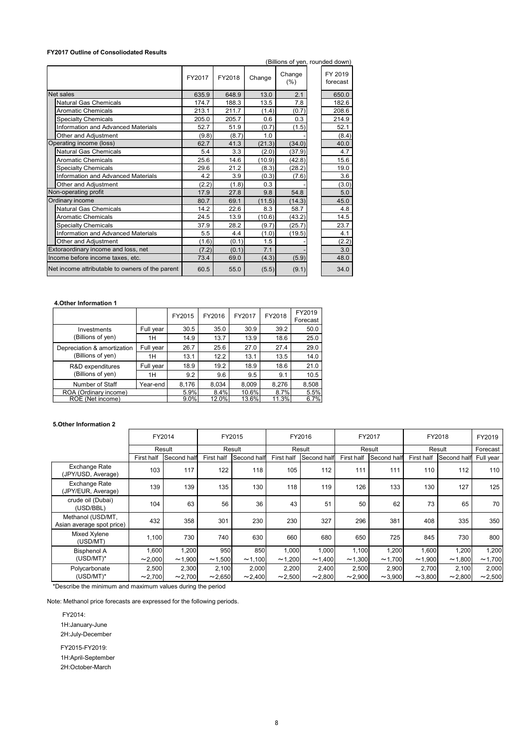#### FY2017 Outline of Consoliodated Results

| <b>FY2017 Outline of Consoliodated Results</b>                          |                    |              |               |               |                 |               |                    |                                 |               |               |          |
|-------------------------------------------------------------------------|--------------------|--------------|---------------|---------------|-----------------|---------------|--------------------|---------------------------------|---------------|---------------|----------|
|                                                                         |                    |              |               |               |                 |               |                    | (Billions of yen, rounded down) |               |               |          |
|                                                                         |                    |              |               |               |                 | Change        |                    | FY 2019                         |               |               |          |
|                                                                         |                    |              | FY2017        | FY2018        | Change          | (% )          |                    | forecast                        |               |               |          |
| Net sales                                                               |                    |              | 635.9         | 648.9         | 13.0            |               | 2.1                | 650.0                           |               |               |          |
| Natural Gas Chemicals                                                   |                    |              | 174.7         | 188.3         | 13.5            |               | 7.8                | 182.6                           |               |               |          |
| Aromatic Chemicals                                                      |                    |              | 213.1         | 211.7         | (1.4)           |               | (0.7)              | 208.6                           |               |               |          |
| <b>Specialty Chemicals</b><br><b>Information and Advanced Materials</b> |                    |              | 205.0<br>52.7 | 205.7<br>51.9 | 0.6<br>(0.7)    |               | 0.3<br>(1.5)       | 214.9<br>52.1                   |               |               |          |
| Other and Adjustment                                                    |                    |              | (9.8)         | (8.7)         | 1.0             |               |                    | (8.4)                           |               |               |          |
| Operating income (loss)                                                 |                    |              | 62.7          | 41.3          | (21.3)          |               | (34.0)             | 40.0                            |               |               |          |
| Natural Gas Chemicals                                                   |                    |              | 5.4           | 3.3           | (2.0)           |               | (37.9)             | 4.7                             |               |               |          |
| Aromatic Chemicals<br><b>Specialty Chemicals</b>                        |                    |              | 25.6<br>29.6  | 14.6<br>21.2  | (10.9)<br>(8.3) |               | (42.8)<br>(28.2)   | 15.6<br>19.0                    |               |               |          |
| Information and Advanced Materials                                      |                    |              | 4.2           | 3.9           | (0.3)           |               | (7.6)              | 3.6                             |               |               |          |
| Other and Adjustment                                                    |                    |              | (2.2)         | (1.8)         | 0.3             |               |                    | (3.0)                           |               |               |          |
| Non-operating profit                                                    |                    |              | 17.9          | 27.8          | 9.8             |               | 54.8               | 5.0                             |               |               |          |
| Ordinary income<br>Natural Gas Chemicals                                |                    |              | 80.7<br>14.2  | 69.1<br>22.6  | (11.5)<br>8.3   |               | (14.3)<br>58.7     | 45.0<br>4.8                     |               |               |          |
| <b>Aromatic Chemicals</b>                                               |                    |              | 24.5          | 13.9          | (10.6)          |               | (43.2)             | 14.5                            |               |               |          |
| <b>Specialty Chemicals</b>                                              |                    |              | 37.9          | 28.2          | (9.7)           |               | (25.7)             | 23.7                            |               |               |          |
| Information and Advanced Materials                                      |                    |              | 5.5           | 4.4           | (1.0)           |               | (19.5)             | 4.1                             |               |               |          |
| Other and Adiustment<br>Extoraordinary income and loss, net             |                    |              | (1.6)         | (0.1)         | 1.5             |               |                    | (2.2)<br>3.0                    |               |               |          |
| Income before income taxes, etc.                                        |                    |              | (7.2)<br>73.4 | (0.1)<br>69.0 | 7.1<br>(4.3)    |               | (5.9)              | 48.0                            |               |               |          |
| Net income attributable to owners of the parent                         |                    |              | 60.5          | 55.0          | (5.5)           |               | (9.1)              | 34.0                            |               |               |          |
|                                                                         |                    |              |               |               |                 |               |                    |                                 |               |               |          |
|                                                                         |                    |              |               |               |                 |               |                    |                                 |               |               |          |
|                                                                         |                    |              |               |               |                 |               |                    |                                 |               |               |          |
| 4. Other Information 1                                                  |                    |              |               |               |                 |               |                    |                                 |               |               |          |
|                                                                         |                    | FY2015       | FY2016        |               | FY2017          | FY2018        | FY2019<br>Forecast |                                 |               |               |          |
| Investments                                                             | Full year          | 30.5         | 35.0          |               | 30.9            | 39.2          | 50.0               |                                 |               |               |          |
| (Billions of yen)                                                       | 1H                 | 14.9         | 13.7          |               | 13.9            | 18.6          | 25.0               |                                 |               |               |          |
| Depreciation & amortization                                             | Full year          | 26.7         | 25.6          |               | 27.0            | 27.4          | 29.0               |                                 |               |               |          |
| (Billions of yen)                                                       | 1H                 | 13.1         | 12.2          |               | 13.1            | 13.5          | 14.0               |                                 |               |               |          |
| R&D expenditures                                                        | Full year          | 18.9         | 19.2          |               | 18.9            | 18.6          | 21.0               |                                 |               |               |          |
| (Billions of yen)                                                       | 1H                 | 9.2          | 9.6           |               | $9.5\,$         | 9.1           | 10.5               |                                 |               |               |          |
| Number of Staff                                                         | Year-end           | 8,176        | 8,034         |               | 8,009           | 8,276         | 8,508              |                                 |               |               |          |
| ROA (Ordinary income)<br>ROE (Net income)                               |                    | 5.9%<br>9.0% | 8.4%<br>12.0% |               | 10.6%<br>13.6%  | 8.7%<br>11.3% | 5.5%<br>6.7%       |                                 |               |               |          |
|                                                                         |                    |              |               |               |                 |               |                    |                                 |               |               |          |
|                                                                         |                    |              |               |               |                 |               |                    |                                 |               |               |          |
| 5. Other Information 2                                                  |                    |              |               |               |                 |               |                    |                                 |               |               |          |
|                                                                         | FY2014             |              |               | FY2015        |                 |               | FY2016             |                                 | FY2017        | FY2018        | FY2019   |
|                                                                         | $D_{\text{ocult}}$ |              |               | <b>Docult</b> |                 |               | <b>Docult</b>      |                                 | <b>Docult</b> | <b>Docult</b> | Estessat |

#### 4.Other Information 1

|                             |           | FY2015  | FY2016 | FY2017 | FY2018   | FY2019<br>Forecast |  |
|-----------------------------|-----------|---------|--------|--------|----------|--------------------|--|
| Investments                 | Full year | 30.5    | 35.0   | 30.9   | 39.2     | 50.0               |  |
| (Billions of yen)           | 1H        | 14.9    | 13.7   | 13.9   | 18.6     | 25.0               |  |
| Depreciation & amortization | Full year | 26.7    | 25.6   | 27.0   | 27.4     | 29.0               |  |
| (Billions of yen)           | 1H        | 13.1    | 12.2   | 13.1   | 13.5     | 14.0               |  |
| R&D expenditures            | Full year | 18.9    | 19.2   | 18.9   | 18.6     | 21.0               |  |
| (Billions of yen)           | 1H        | 9.2     | 9.6    | 9.5    | 9.1      | 10.5               |  |
| Number of Staff             | Year-end  | 8.176   | 8,034  | 8,009  | 8,276    | 8,508              |  |
| ROA (Ordinary income)       |           | 5.9%    | 8.4%   | 10.6%  | 8.7%     | 5.5%               |  |
| ROE (Net income)            |           | $9.0\%$ | 12.0%  | 13.6%  | $11.3\%$ | 6.7%               |  |

#### 5.Other Information 2

| Natural Gas Chemicals                                                   |                        |               | 14.2          | 22.6                   | 58.7<br>8.3      |                        | 4.8    |                        |                        |        |           |
|-------------------------------------------------------------------------|------------------------|---------------|---------------|------------------------|------------------|------------------------|--------|------------------------|------------------------|--------|-----------|
| Aromatic Chemicals                                                      |                        |               | 24.5          | 13.9                   | (43.2)<br>(10.6) |                        | 14.5   |                        |                        |        |           |
| Specialty Chemicals                                                     |                        |               | 37.9          | 28.2                   | (9.7)<br>(25.7)  |                        | 23.7   |                        |                        |        |           |
| Information and Advanced Materials                                      |                        |               | 5.5           | 4.4                    | (1.0)<br>(19.5)  |                        | 4.1    |                        |                        |        |           |
| Other and Adjustment                                                    |                        |               | (1.6)         | (0.1)                  | 1.5              |                        | (2.2)  |                        |                        |        |           |
| Extoraordinary income and loss, net                                     |                        |               | (7.2)         | (0.1)                  | 7.1              |                        | 3.0    |                        |                        |        |           |
| ncome before income taxes, etc.                                         |                        |               | 73.4          | 69.0                   | (4.3)<br>(5.9)   |                        | 48.0   |                        |                        |        |           |
| Net income attributable to owners of the parent                         |                        |               | 60.5          | 55.0                   | (5.5)<br>(9.1)   |                        | 34.0   |                        |                        |        |           |
| 4. Other Information 1                                                  |                        |               |               |                        |                  |                        |        |                        |                        |        |           |
|                                                                         |                        |               |               |                        |                  | FY2019                 |        |                        |                        |        |           |
|                                                                         |                        | FY2015        | FY2016        | FY2017                 | FY2018           | Forecast               |        |                        |                        |        |           |
| Investments                                                             | Full year              | 30.5          | 35.0          | 30.9                   | 39.2             | 50.0                   |        |                        |                        |        |           |
| (Billions of yen)                                                       | 1H                     | 14.9          | 13.7          | 13.9                   | 18.6             | 25.0                   |        |                        |                        |        |           |
| Depreciation & amortization                                             | Full year              | 26.7          | 25.6          | 27.0                   | 27.4             | 29.0                   |        |                        |                        |        |           |
| (Billions of yen)                                                       | 1H                     | 13.1          | 12.2          | 13.1                   | 13.5             | 14.0                   |        |                        |                        |        |           |
| R&D expenditures                                                        | Full year              | 18.9          | 19.2          | 18.9                   | 18.6             | 21.0                   |        |                        |                        |        |           |
| (Billions of yen)                                                       | 1H                     | 9.2           | 9.6           | 9.5                    | 9.1              | 10.5                   |        |                        |                        |        |           |
| Number of Staff<br>ROA (Ordinary income)                                | Year-end               | 8,176<br>5.9% | 8,034         | 8,009                  | 8,276            | 8,508                  |        |                        |                        |        |           |
| ROE (Net income)                                                        |                        | 9.0%          | 8.4%<br>12.0% | 10.6%<br>13.6%         | 8.7%<br>11.3%    | 5.5%<br>6.7%           |        |                        |                        |        |           |
|                                                                         |                        |               |               |                        |                  |                        |        |                        |                        |        |           |
|                                                                         |                        |               |               |                        |                  |                        |        |                        |                        |        |           |
| 5. Other Information 2                                                  |                        |               |               |                        |                  |                        |        |                        |                        |        |           |
|                                                                         | FY2014                 |               |               | FY2015                 |                  | FY2016                 | FY2017 |                        | FY2018                 |        | FY2019    |
|                                                                         | Result                 |               |               | Result                 |                  | Result                 | Result |                        | Result                 |        | Forecast  |
|                                                                         | First half Second half |               |               | First half Second half |                  | First half Second half |        | First half Second half | First half Second half |        | Full year |
| Exchange Rate<br>(JPY/USD, Average)                                     | 103                    | 117           | 122           | 118                    | 105              | 112                    | 111    | 111                    | 110                    | 112    | 110       |
| Exchange Rate<br>(JPY/EUR, Average)                                     | 139                    | 139           | 135           | 130                    | 118              | 119                    | 126    | 133                    | 130                    | 127    | 125       |
| crude oil (Dubai)<br>(USD/BBL)                                          | 104                    | 63            | 56            | 36                     | 43               | 51                     | 50     | 62                     | 73                     | 65     | 70        |
| Methanol (USD/MT,<br>Asian average spot price)                          | 432                    | 358           | 301           | 230                    | 230              | 327                    | 296    | 381                    | 408                    | 335    | 350       |
| Mixed Xylene<br>(USD/MT)                                                | 1,100                  | 730           | 740           | 630                    | 660              | 680                    | 650    | 725                    | 845                    | 730    | 800       |
| <b>Bisphenol A</b>                                                      | 1,600                  | 1,200         | 950           | 850                    | 1,000            | 1,000                  | 1,100  | 1,200                  | 1,600                  | 1,200  | 1,200     |
| $(USD/MT)^*$                                                            | ~2,000                 | ~1,900        | ~1,500        | ~1,100                 | ~1,200           | ~1,400                 | ~1,300 | ~1,700                 | ~1,900                 | ~1,800 | ~1,700    |
| Polycarbonate                                                           | 2,500                  | 2,300         | 2,100         | 2,000                  | 2,200            | 2,400                  | 2,500  | 2,900                  | 2,700                  | 2,100  | 2,000     |
| $(USD/MT)^*$                                                            | ~2,700                 | ~2,700        | ~2,650        | ~2,400                 | ~2,500           | ~2,800                 | ~2,900 | ~1,000                 | ~1,800                 | ~2,800 | ~2,500    |
| *Describe the minimum and maximum values during the period              |                        |               |               |                        |                  |                        |        |                        |                        |        |           |
| lote: Methanol price forecasts are expressed for the following periods. |                        |               |               |                        |                  |                        |        |                        |                        |        |           |
| FY2014:                                                                 |                        |               |               |                        |                  |                        |        |                        |                        |        |           |
| 1H: Jonuary June                                                        |                        |               |               |                        |                  |                        |        |                        |                        |        |           |

 FY2014: 1H:January-June 2H:July-December

FY2015-FY2019:

1H:April-September

2H:October-March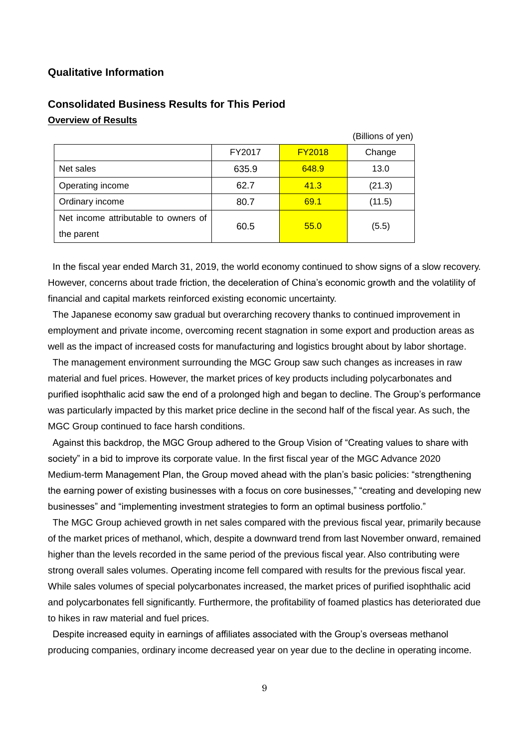## **Qualitative Information**

|                                      |        |               | (Billions of yen) |
|--------------------------------------|--------|---------------|-------------------|
|                                      | FY2017 | <b>FY2018</b> | Change            |
| Net sales                            | 635.9  | 648.9         | 13.0              |
| Operating income                     | 62.7   | 41.3          | (21.3)            |
| Ordinary income                      | 80.7   | 69.1          | (11.5)            |
| Net income attributable to owners of | 60.5   | 55.0          |                   |
| the parent                           |        |               | (5.5)             |

# **Consolidated Business Results for This Period Overview of Results**

In the fiscal year ended March 31, 2019, the world economy continued to show signs of a slow recovery. However, concerns about trade friction, the deceleration of China's economic growth and the volatility of financial and capital markets reinforced existing economic uncertainty.

The Japanese economy saw gradual but overarching recovery thanks to continued improvement in employment and private income, overcoming recent stagnation in some export and production areas as well as the impact of increased costs for manufacturing and logistics brought about by labor shortage.

The management environment surrounding the MGC Group saw such changes as increases in raw material and fuel prices. However, the market prices of key products including polycarbonates and purified isophthalic acid saw the end of a prolonged high and began to decline. The Group's performance was particularly impacted by this market price decline in the second half of the fiscal year. As such, the MGC Group continued to face harsh conditions.

Against this backdrop, the MGC Group adhered to the Group Vision of "Creating values to share with society" in a bid to improve its corporate value. In the first fiscal year of the MGC Advance 2020 Medium-term Management Plan, the Group moved ahead with the plan's basic policies: "strengthening the earning power of existing businesses with a focus on core businesses," "creating and developing new businesses" and "implementing investment strategies to form an optimal business portfolio."

The MGC Group achieved growth in net sales compared with the previous fiscal year, primarily because of the market prices of methanol, which, despite a downward trend from last November onward, remained higher than the levels recorded in the same period of the previous fiscal year. Also contributing were strong overall sales volumes. Operating income fell compared with results for the previous fiscal year. While sales volumes of special polycarbonates increased, the market prices of purified isophthalic acid and polycarbonates fell significantly. Furthermore, the profitability of foamed plastics has deteriorated due to hikes in raw material and fuel prices.

Despite increased equity in earnings of affiliates associated with the Group's overseas methanol producing companies, ordinary income decreased year on year due to the decline in operating income.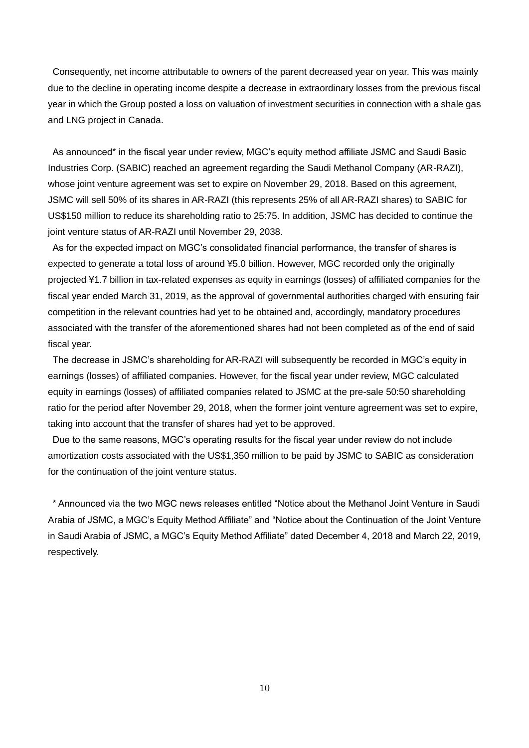Consequently, net income attributable to owners of the parent decreased year on year. This was mainly due to the decline in operating income despite a decrease in extraordinary losses from the previous fiscal year in which the Group posted a loss on valuation of investment securities in connection with a shale gas and LNG project in Canada.

As announced\* in the fiscal year under review, MGC's equity method affiliate JSMC and Saudi Basic Industries Corp. (SABIC) reached an agreement regarding the Saudi Methanol Company (AR-RAZI), whose joint venture agreement was set to expire on November 29, 2018. Based on this agreement, JSMC will sell 50% of its shares in AR-RAZI (this represents 25% of all AR-RAZI shares) to SABIC for US\$150 million to reduce its shareholding ratio to 25:75. In addition, JSMC has decided to continue the joint venture status of AR-RAZI until November 29, 2038.

As for the expected impact on MGC's consolidated financial performance, the transfer of shares is expected to generate a total loss of around ¥5.0 billion. However, MGC recorded only the originally projected ¥1.7 billion in tax-related expenses as equity in earnings (losses) of affiliated companies for the fiscal year ended March 31, 2019, as the approval of governmental authorities charged with ensuring fair competition in the relevant countries had yet to be obtained and, accordingly, mandatory procedures associated with the transfer of the aforementioned shares had not been completed as of the end of said fiscal year.

The decrease in JSMC's shareholding for AR-RAZI will subsequently be recorded in MGC's equity in earnings (losses) of affiliated companies. However, for the fiscal year under review, MGC calculated equity in earnings (losses) of affiliated companies related to JSMC at the pre-sale 50:50 shareholding ratio for the period after November 29, 2018, when the former joint venture agreement was set to expire, taking into account that the transfer of shares had yet to be approved.

Due to the same reasons, MGC's operating results for the fiscal year under review do not include amortization costs associated with the US\$1,350 million to be paid by JSMC to SABIC as consideration for the continuation of the joint venture status.

\* Announced via the two MGC news releases entitled "Notice about the Methanol Joint Venture in Saudi Arabia of JSMC, a MGC's Equity Method Affiliate" and "Notice about the Continuation of the Joint Venture in Saudi Arabia of JSMC, a MGC's Equity Method Affiliate" dated December 4, 2018 and March 22, 2019, respectively.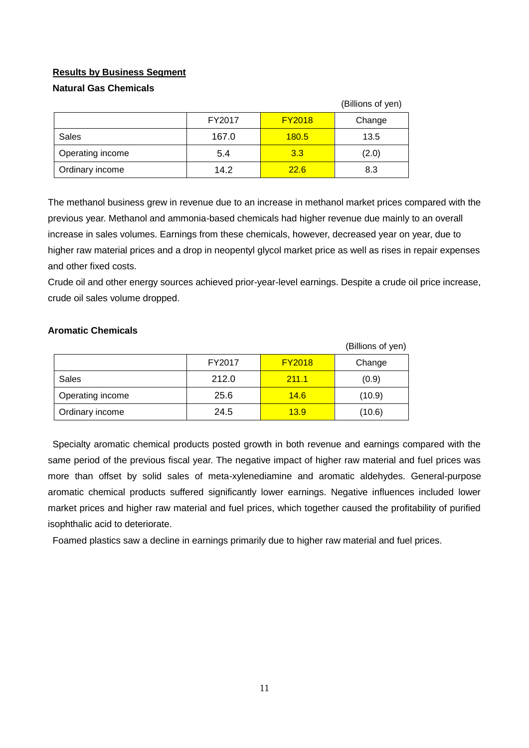# **Results by Business Segment**

## **Natural Gas Chemicals**

|                  |        |               | (Billions of yen) |
|------------------|--------|---------------|-------------------|
|                  | FY2017 | <b>FY2018</b> | Change            |
| Sales            | 167.0  | <b>180.5</b>  | 13.5              |
| Operating income | 5.4    | 3.3           | (2.0)             |
| Ordinary income  | 14.2   | 22.6          | 8.3               |

The methanol business grew in revenue due to an increase in methanol market prices compared with the previous year. Methanol and ammonia-based chemicals had higher revenue due mainly to an overall increase in sales volumes. Earnings from these chemicals, however, decreased year on year, due to higher raw material prices and a drop in neopentyl glycol market price as well as rises in repair expenses and other fixed costs.

Crude oil and other energy sources achieved prior-year-level earnings. Despite a crude oil price increase, crude oil sales volume dropped.

|                  |        |               | (Billions of yen) |
|------------------|--------|---------------|-------------------|
|                  | FY2017 | <b>FY2018</b> | Change            |
| <b>Sales</b>     | 212.0  | 211.1         | (0.9)             |
| Operating income | 25.6   | 14.6          | (10.9)            |
| Ordinary income  | 24.5   | 13.9          | (10.6)            |

## **Aromatic Chemicals**

Specialty aromatic chemical products posted growth in both revenue and earnings compared with the same period of the previous fiscal year. The negative impact of higher raw material and fuel prices was more than offset by solid sales of meta-xylenediamine and aromatic aldehydes. General-purpose aromatic chemical products suffered significantly lower earnings. Negative influences included lower market prices and higher raw material and fuel prices, which together caused the profitability of purified isophthalic acid to deteriorate.

Foamed plastics saw a decline in earnings primarily due to higher raw material and fuel prices.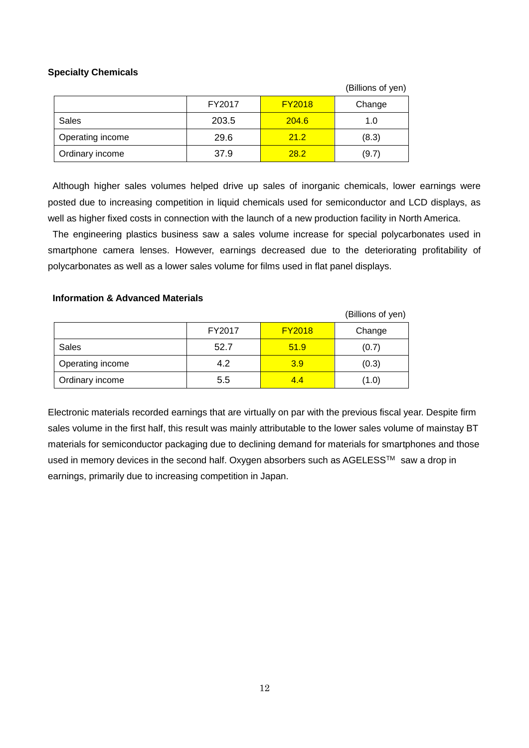## **Specialty Chemicals**

|                  |        |               | (Billions of yen) |
|------------------|--------|---------------|-------------------|
|                  | FY2017 | <b>FY2018</b> | Change            |
| Sales            | 203.5  | 204.6         | 1.0               |
| Operating income | 29.6   | 21.2          | (8.3)             |
| Ordinary income  | 37.9   | 28.2          | (9.7)             |

Although higher sales volumes helped drive up sales of inorganic chemicals, lower earnings were posted due to increasing competition in liquid chemicals used for semiconductor and LCD displays, as well as higher fixed costs in connection with the launch of a new production facility in North America.

The engineering plastics business saw a sales volume increase for special polycarbonates used in smartphone camera lenses. However, earnings decreased due to the deteriorating profitability of polycarbonates as well as a lower sales volume for films used in flat panel displays.

#### **Information & Advanced Materials**

|                  |        |               | (Billions of yen) |
|------------------|--------|---------------|-------------------|
|                  | FY2017 | <b>FY2018</b> | Change            |
| Sales            | 52.7   | 51.9          | (0.7)             |
| Operating income | 4.2    | 3.9           | (0.3)             |
| Ordinary income  | 5.5    | 4.4           | (1.0)             |

Electronic materials recorded earnings that are virtually on par with the previous fiscal year. Despite firm sales volume in the first half, this result was mainly attributable to the lower sales volume of mainstay BT materials for semiconductor packaging due to declining demand for materials for smartphones and those used in memory devices in the second half. Oxygen absorbers such as AGELESS™ saw a drop in earnings, primarily due to increasing competition in Japan.